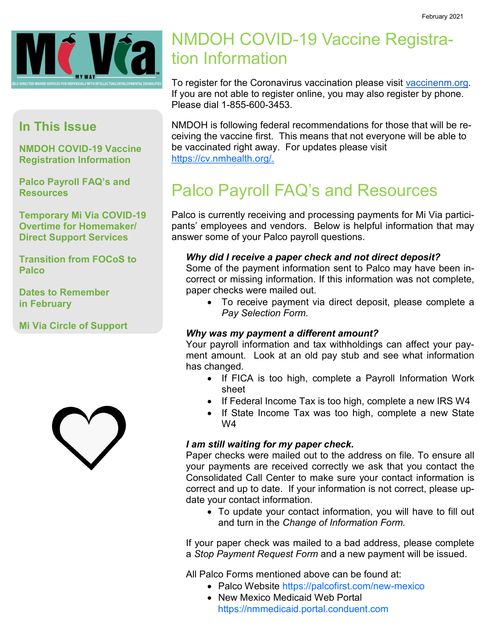

### **In This Issue**

**NMDOH COVID-19 Vaccine Registration Information**

**Palco Payroll FAQ's and Resources**

**Temporary Mi Via COVID-19 Overtime for Homemaker/ Direct Support Services**

**Transition from FOCoS to Palco**

**Dates to Remember in February**

**Mi Via Circle of Support**



## NMDOH COVID-19 Vaccine Registration Information

To register for the Coronavirus vaccination please visit [vaccinenm.org.](http://r20.rs6.net/tn.jsp?f=001bbUMNJ9z9IPFWYa68pkGFY18RPVfFFRC_Zin4TAVegu3LX7fi4_affvJ7TTYGlM2_hs7ea8mNThVCWG2_IS_xIdP9ysxkvRCdN1QuJCTrARi_oP3gDsyhP3CFpQJh0n6_oQ2Y850aTQ=&c=vnzilT4oCVhnSnxc5UlY7aNJheAR4IRB5W9fRET8aYPwld7Wq_ry_Q==&ch=VZ86Lo1ioO1cc4AN0KpqdAAZ2)  If you are not able to register online, you may also register by phone. Please dial 1-855-600-3453.

NMDOH is following federal recommendations for those that will be receiving the vaccine first. This means that not everyone will be able to be vaccinated right away. For updates please visit [https://cv.nmhealth.org/.](https://cv.nmhealth.org/)

## Palco Payroll FAQ's and Resources

Palco is currently receiving and processing payments for Mi Via participants' employees and vendors. Below is helpful information that may answer some of your Palco payroll questions.

#### *Why did I receive a paper check and not direct deposit?*

Some of the payment information sent to Palco may have been incorrect or missing information. If this information was not complete, paper checks were mailed out.

• To receive payment via direct deposit, please complete a *Pay Selection Form*.

#### *Why was my payment a different amount?*

Your payroll information and tax withholdings can affect your payment amount. Look at an old pay stub and see what information has changed.

- If FICA is too high, complete a Payroll Information Work sheet
- If Federal Income Tax is too high, complete a new IRS W4
- If State Income Tax was too high, complete a new State W4

#### *I am still waiting for my paper check.*

Paper checks were mailed out to the address on file. To ensure all your payments are received correctly we ask that you contact the Consolidated Call Center to make sure your contact information is correct and up to date. If your information is not correct, please update your contact information.

• To update your contact information, you will have to fill out and turn in the *Change of Information Form.*

If your paper check was mailed to a bad address, please complete a *Stop Payment Request Form* and a new payment will be issued.

All Palco Forms mentioned above can be found at:

- Palco Website [https://palcofirst.com/new](https://palcofirst.com/new-mexico)-mexico
- New Mexico Medicaid Web Portal <https://nmmedicaid.portal.conduent.com>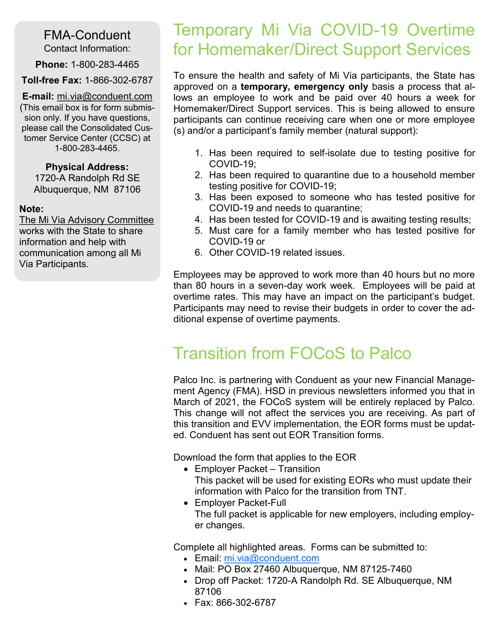#### FMA-Conduent Contact Information:

**Phone:** 1-800-283-4465

#### **Toll-free Fax:** 1-866-302-6787

**E-mail:** mi.via@conduent.com (This email box is for form submission only. If you have questions, please call the Consolidated Customer Service Center (CCSC) at 1-800-283-4465.

#### **Physical Address:**

1720-A Randolph Rd SE Albuquerque, NM 87106

#### **Note:**

The Mi Via Advisory Committee works with the State to share information and help with communication among all Mi Via Participants.

### Temporary Mi Via COVID-19 Overtime for Homemaker/Direct Support Services

To ensure the health and safety of Mi Via participants, the State has approved on a **temporary, emergency only** basis a process that allows an employee to work and be paid over 40 hours a week for Homemaker/Direct Support services. This is being allowed to ensure participants can continue receiving care when one or more employee (s) and/or a participant's family member (natural support):

- 1. Has been required to self-isolate due to testing positive for COVID-19;
- 2. Has been required to quarantine due to a household member testing positive for COVID-19;
- 3. Has been exposed to someone who has tested positive for COVID-19 and needs to quarantine;
- 4. Has been tested for COVID-19 and is awaiting testing results;
- 5. Must care for a family member who has tested positive for COVID-19 or
- 6. Other COVID-19 related issues.

Employees may be approved to work more than 40 hours but no more than 80 hours in a seven-day work week. Employees will be paid at overtime rates. This may have an impact on the participant's budget. Participants may need to revise their budgets in order to cover the additional expense of overtime payments.

## Transition from FOCoS to Palco

Palco Inc. is partnering with Conduent as your new Financial Management Agency (FMA). HSD in previous newsletters informed you that in March of 2021, the FOCoS system will be entirely replaced by Palco. This change will not affect the services you are receiving. As part of this transition and EVV implementation, the EOR forms must be updated. Conduent has sent out EOR Transition forms.

Download the form that applies to the EOR

- Employer Packet Transition This packet will be used for existing EORs who must update their information with Palco for the transition from TNT.
- Employer Packet-Full The full packet is applicable for new employers, including employer changes.

Complete all highlighted areas. Forms can be submitted to:

- Email: [mi.via@conduent.com](mailto:mi.via@conduent.com)
- Mail: PO Box 27460 Albuquerque, NM 87125-7460
- Drop off Packet: 1720-A Randolph Rd. SE Albuquerque, NM 87106
- Fax: 866-302-6787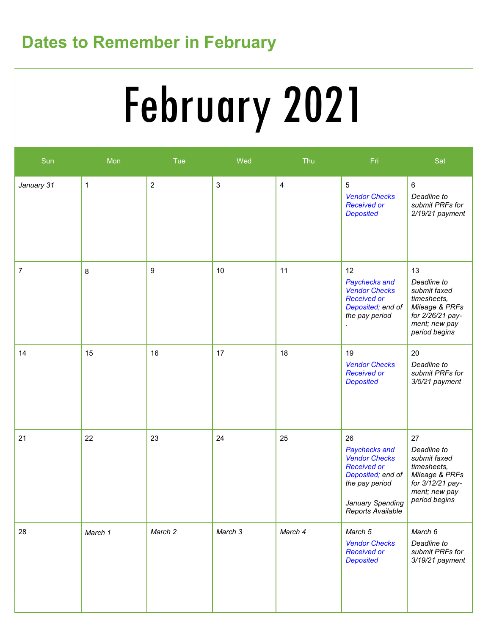# **Dates to Remember in February**

# Vendor Flowchart **Service Deliveries Concerns (E.g. SSP)** February 2021

| Sun        | Mon          | Tue        | Wed                       | Thu                     | Fri                                                                                                                                               | Sat                                                                                                                      |
|------------|--------------|------------|---------------------------|-------------------------|---------------------------------------------------------------------------------------------------------------------------------------------------|--------------------------------------------------------------------------------------------------------------------------|
| January 31 | $\mathbf{1}$ | $\sqrt{2}$ | $\ensuremath{\mathsf{3}}$ | $\overline{\mathbf{4}}$ | 5<br><b>Vendor Checks</b><br><b>Received or</b><br><b>Deposited</b>                                                                               | $\,6\,$<br>Deadline to<br>submit PRFs for<br>$2/19/21$ payment                                                           |
| 7          | 8            | 9          | 10                        | 11                      | 12<br>Paychecks and<br><b>Vendor Checks</b><br><b>Received or</b><br>Deposited; end of<br>the pay period                                          | 13<br>Deadline to<br>submit faxed<br>timesheets,<br>Mileage & PRFs<br>for 2/26/21 pay-<br>ment; new pay<br>period begins |
| 14         | 15           | 16         | 17                        | 18                      | 19<br><b>Vendor Checks</b><br><b>Received or</b><br><b>Deposited</b>                                                                              | 20<br>Deadline to<br>submit PRFs for<br>3/5/21 payment                                                                   |
| 21         | 22           | 23         | 24                        | 25                      | 26<br>Paychecks and<br><b>Vendor Checks</b><br><b>Received or</b><br>Deposited; end of<br>the pay period<br>January Spending<br>Reports Available | 27<br>Deadline to<br>submit faxed<br>timesheets,<br>Mileage & PRFs<br>for 3/12/21 pay-<br>ment; new pay<br>period begins |
| 28         | March 1      | March 2    | March 3                   | March 4                 | March 5<br><b>Vendor Checks</b><br><b>Received or</b><br><b>Deposited</b>                                                                         | March 6<br>Deadline to<br>submit PRFs for<br>3/19/21 payment                                                             |